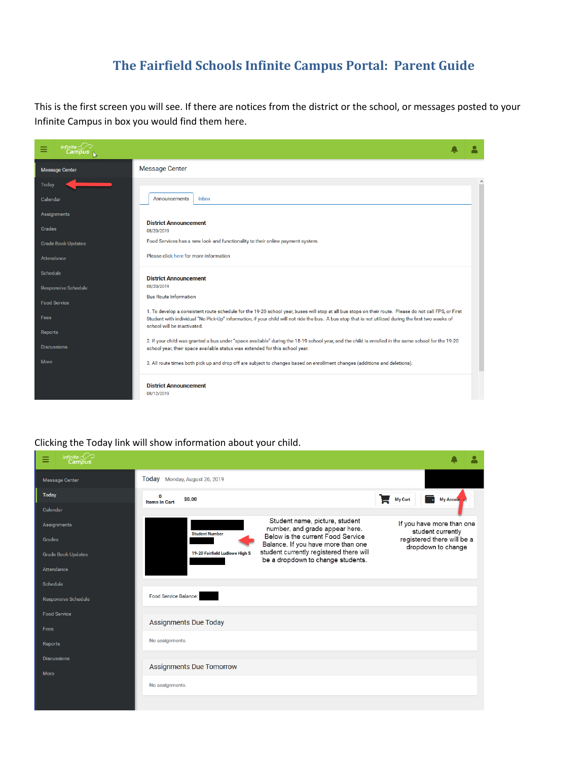# **The Fairfield Schools Infinite Campus Portal: Parent Guide**

This is the first screen you will see. If there are notices from the district or the school, or messages posted to your Infinite Campus in box you would find them here.

| Infinite $c$<br>Ξ<br>Cambus |                                                                                                                                                                                                                                                                                                                                               |         |
|-----------------------------|-----------------------------------------------------------------------------------------------------------------------------------------------------------------------------------------------------------------------------------------------------------------------------------------------------------------------------------------------|---------|
| <b>Message Center</b>       | <b>Message Center</b>                                                                                                                                                                                                                                                                                                                         |         |
| Today                       |                                                                                                                                                                                                                                                                                                                                               | $\land$ |
| Calendar                    | Inbox<br>Announcements                                                                                                                                                                                                                                                                                                                        |         |
| Assignments                 |                                                                                                                                                                                                                                                                                                                                               |         |
| Grades                      | <b>District Announcement</b><br>08/20/2019                                                                                                                                                                                                                                                                                                    |         |
| <b>Grade Book Updates</b>   | Food Services has a new look and functionality to their online payment system.                                                                                                                                                                                                                                                                |         |
| Attendance                  | Please click here for more information                                                                                                                                                                                                                                                                                                        |         |
| Schedule                    | <b>District Announcement</b>                                                                                                                                                                                                                                                                                                                  |         |
| <b>Responsive Schedule</b>  | 08/20/2019                                                                                                                                                                                                                                                                                                                                    |         |
| <b>Food Service</b>         | <b>Bus Route Information</b>                                                                                                                                                                                                                                                                                                                  |         |
| Fees                        | 1. To develop a consistent route schedule for the 19-20 school year, buses will stop at all bus stops on their route. Please do not call FPS, or First<br>Student with individual "No Pick-Up" information, if your child will not ride the bus. A bus stop that is not utilized during the first two weeks of<br>school will be inactivated. |         |
| Reports                     |                                                                                                                                                                                                                                                                                                                                               |         |
| <b>Discussions</b>          | 2. If your child was granted a bus under "space available" during the 18-19 school year, and the child is enrolled in the same school for the 19-20<br>school year, their space available status was extended for this school year.                                                                                                           |         |
| More                        | 3. All route times both pick up and drop off are subject to changes based on enrollment changes (additions and deletions).                                                                                                                                                                                                                    |         |
|                             | <b>District Announcement</b><br>08/12/2019                                                                                                                                                                                                                                                                                                    |         |

### Clicking the Today link will show information about your child.

| Infinite $\ll$<br>Ξ<br><b>Campus</b> |                                                                                                                                                      |                                                                              |
|--------------------------------------|------------------------------------------------------------------------------------------------------------------------------------------------------|------------------------------------------------------------------------------|
| <b>Message Center</b>                | Today Monday, August 26, 2019                                                                                                                        |                                                                              |
| Today                                | 0<br>\$0.00<br><b>Items in Cart</b>                                                                                                                  | <b>My Cart</b><br><b>My Accour</b>                                           |
| Calendar                             |                                                                                                                                                      |                                                                              |
| Assignments<br>Grades                | Student name, picture, student<br>number, and grade appear here.<br><b>Student Number</b><br>Below is the current Food Service                       | If you have more than one<br>student currently<br>registered there will be a |
| <b>Grade Book Updates</b>            | Balance. If you have more than one<br>student currently registered there will<br>19-20 Fairfield Ludlowe High S<br>be a dropdown to change students. | dropdown to change                                                           |
| Attendance                           |                                                                                                                                                      |                                                                              |
| Schedule                             |                                                                                                                                                      |                                                                              |
| <b>Responsive Schedule</b>           | Food Service Balance:                                                                                                                                |                                                                              |
| <b>Food Service</b>                  |                                                                                                                                                      |                                                                              |
| Fees                                 | <b>Assignments Due Today</b>                                                                                                                         |                                                                              |
| Reports                              | No assignments.                                                                                                                                      |                                                                              |
| <b>Discussions</b>                   |                                                                                                                                                      |                                                                              |
| More                                 | <b>Assignments Due Tomorrow</b>                                                                                                                      |                                                                              |
|                                      | No assignments.                                                                                                                                      |                                                                              |
|                                      |                                                                                                                                                      |                                                                              |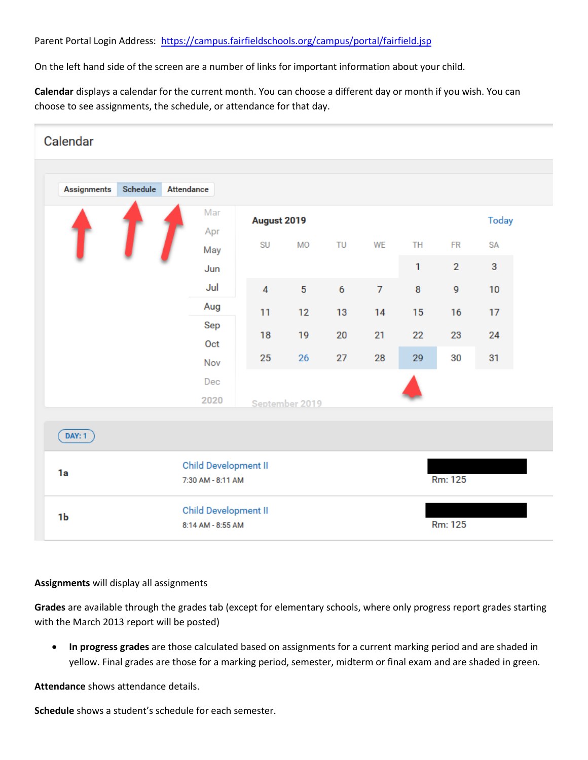On the left hand side of the screen are a number of links for important information about your child.

**Calendar** displays a calendar for the current month. You can choose a different day or month if you wish. You can choose to see assignments, the schedule, or attendance for that day.



#### **Assignments** will display all assignments

**Grades** are available through the grades tab (except for elementary schools, where only progress report grades starting with the March 2013 report will be posted)

• **In progress grades** are those calculated based on assignments for a current marking period and are shaded in yellow. Final grades are those for a marking period, semester, midterm or final exam and are shaded in green.

**Attendance** shows attendance details.

**Schedule** shows a student's schedule for each semester.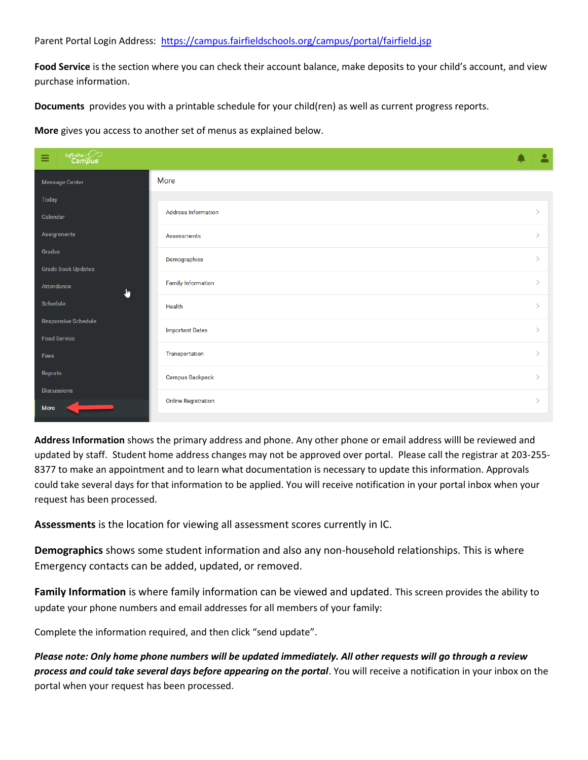### Parent Portal Login Address:<https://campus.fairfieldschools.org/campus/portal/fairfield.jsp>

**Food Service** is the section where you can check their account balance, make deposits to your child's account, and view purchase information.

**Documents** provides you with a printable schedule for your child(ren) as well as current progress reports.

**More** gives you access to another set of menus as explained below.

| $\begin{picture}(22,10) \put(0,0){\line(1,0){10}} \put(15,0){\line(1,0){10}} \put(15,0){\line(1,0){10}} \put(15,0){\line(1,0){10}} \put(15,0){\line(1,0){10}} \put(15,0){\line(1,0){10}} \put(15,0){\line(1,0){10}} \put(15,0){\line(1,0){10}} \put(15,0){\line(1,0){10}} \put(15,0){\line(1,0){10}} \put(15,0){\line(1,0){10}} \put(15,0){\line(1$<br>Ξ |                            | $\overline{\mathbf{a}}$ |
|----------------------------------------------------------------------------------------------------------------------------------------------------------------------------------------------------------------------------------------------------------------------------------------------------------------------------------------------------------|----------------------------|-------------------------|
| Message Center                                                                                                                                                                                                                                                                                                                                           | <b>More</b>                |                         |
| Today                                                                                                                                                                                                                                                                                                                                                    |                            |                         |
| Calendar                                                                                                                                                                                                                                                                                                                                                 | <b>Address Information</b> | $\mathcal{P}$           |
| Assignments                                                                                                                                                                                                                                                                                                                                              | Assessments                | $\mathcal{P}$           |
| Grades                                                                                                                                                                                                                                                                                                                                                   | Demographics               | $\mathbf{v}$            |
| Grade Book Updates                                                                                                                                                                                                                                                                                                                                       |                            |                         |
| Attendance<br>J.                                                                                                                                                                                                                                                                                                                                         | <b>Family Information</b>  | $\mathbf{v}$            |
| Schedule                                                                                                                                                                                                                                                                                                                                                 | Health                     | $\mathbf{v}$            |
| Responsive Schedule                                                                                                                                                                                                                                                                                                                                      |                            | $\mathbf{v}$            |
| <b>Food Service</b>                                                                                                                                                                                                                                                                                                                                      | <b>Important Dates</b>     |                         |
| Fees                                                                                                                                                                                                                                                                                                                                                     | Transportation             | $\mathbf{v}$            |
| Reports                                                                                                                                                                                                                                                                                                                                                  | Campus Backpack            | $\rightarrow$           |
| <b>Discussions</b>                                                                                                                                                                                                                                                                                                                                       |                            | $\mathbf{v}$            |
| More                                                                                                                                                                                                                                                                                                                                                     | <b>Online Registration</b> |                         |

**Address Information** shows the primary address and phone. Any other phone or email address willl be reviewed and updated by staff. Student home address changes may not be approved over portal. Please call the registrar at 203-255- 8377 to make an appointment and to learn what documentation is necessary to update this information. Approvals could take several days for that information to be applied. You will receive notification in your portal inbox when your request has been processed.

**Assessments** is the location for viewing all assessment scores currently in IC.

**Demographics** shows some student information and also any non-household relationships. This is where Emergency contacts can be added, updated, or removed.

**Family Information** is where family information can be viewed and updated. This screen provides the ability to update your phone numbers and email addresses for all members of your family:

Complete the information required, and then click "send update".

*Please note: Only home phone numbers will be updated immediately. All other requests will go through a review process and could take several days before appearing on the portal*. You will receive a notification in your inbox on the portal when your request has been processed.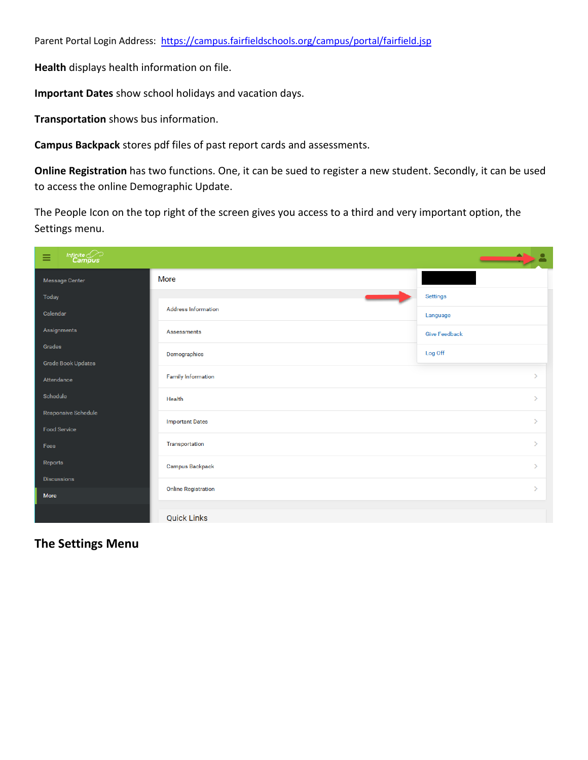**Health** displays health information on file.

**Important Dates** show school holidays and vacation days.

**Transportation** shows bus information.

**Campus Backpack** stores pdf files of past report cards and assessments.

**Online Registration** has two functions. One, it can be sued to register a new student. Secondly, it can be used to access the online Demographic Update.

The People Icon on the top right of the screen gives you access to a third and very important option, the Settings menu.

| Infinite<br>Campus<br>Ξ             |                            | <u> Estados de Santo de Santo de Santo de Santo de Santo de Santo de Santo de Santo de Santo de Santo de Santo de S</u> |
|-------------------------------------|----------------------------|-------------------------------------------------------------------------------------------------------------------------|
| <b>Message Center</b>               | More                       |                                                                                                                         |
| Today                               | _                          | <b>Settings</b>                                                                                                         |
| Calendar                            | <b>Address Information</b> | Language                                                                                                                |
| Assignments                         | <b>Assessments</b>         | <b>Give Feedback</b>                                                                                                    |
| Grades<br><b>Grade Book Updates</b> | Demographics               | Log Off                                                                                                                 |
| Attendance                          | <b>Family Information</b>  |                                                                                                                         |
| Schedule                            | Health                     | $\rightarrow$                                                                                                           |
| Responsive Schedule                 | <b>Important Dates</b>     | $\rightarrow$                                                                                                           |
| <b>Food Service</b>                 |                            |                                                                                                                         |
| Fees                                | Transportation             | $\rightarrow$                                                                                                           |
| Reports                             | <b>Campus Backpack</b>     | $\rightarrow$                                                                                                           |
| <b>Discussions</b>                  | <b>Online Registration</b> | $\mathcal{P}$                                                                                                           |
| More                                |                            |                                                                                                                         |
|                                     | <b>Quick Links</b>         |                                                                                                                         |

### **The Settings Menu**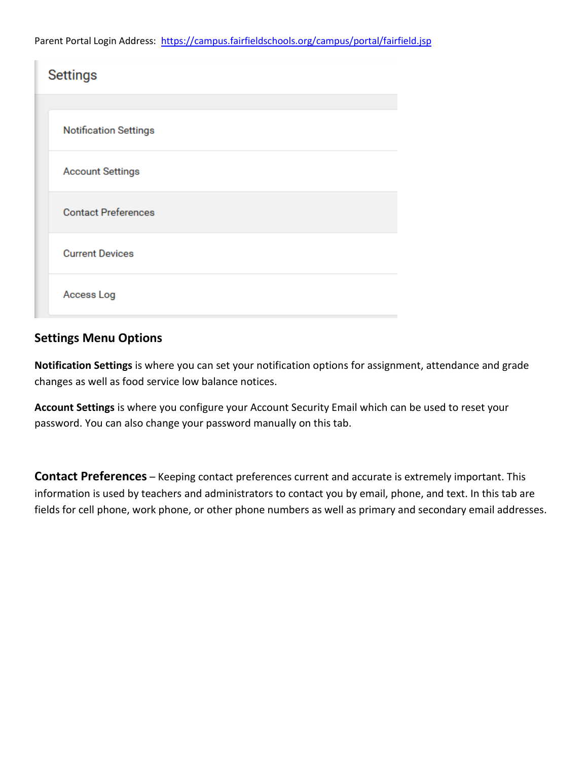| <b>Settings</b>              |  |  |
|------------------------------|--|--|
|                              |  |  |
| <b>Notification Settings</b> |  |  |
| <b>Account Settings</b>      |  |  |
| <b>Contact Preferences</b>   |  |  |
| <b>Current Devices</b>       |  |  |
| Access Log                   |  |  |

## **Settings Menu Options**

**Notification Settings** is where you can set your notification options for assignment, attendance and grade changes as well as food service low balance notices.

**Account Settings** is where you configure your Account Security Email which can be used to reset your password. You can also change your password manually on this tab.

**Contact Preferences** – Keeping contact preferences current and accurate is extremely important. This information is used by teachers and administrators to contact you by email, phone, and text. In this tab are fields for cell phone, work phone, or other phone numbers as well as primary and secondary email addresses.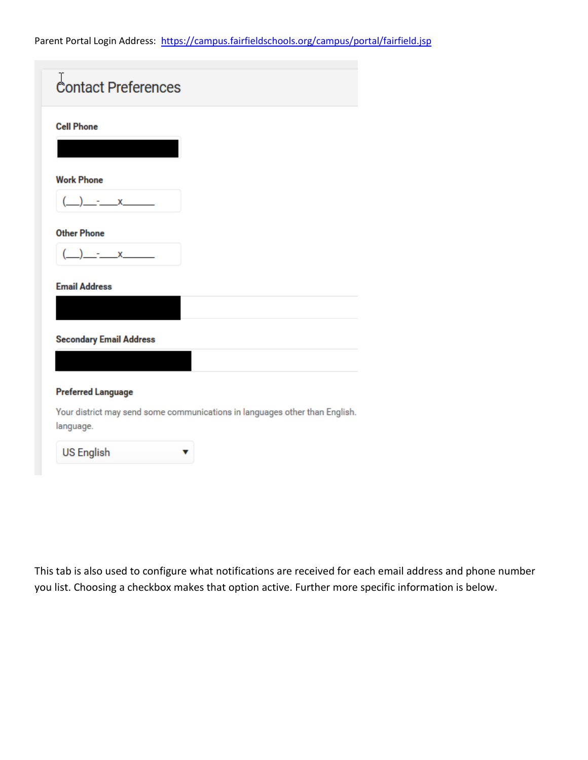| <b>Cell Phone</b>              |                                                                             |
|--------------------------------|-----------------------------------------------------------------------------|
|                                |                                                                             |
| <b>Work Phone</b>              |                                                                             |
| $- x$                          |                                                                             |
| <b>Other Phone</b>             |                                                                             |
| $- x$                          |                                                                             |
| <b>Email Address</b>           |                                                                             |
| <b>Secondary Email Address</b> |                                                                             |
|                                |                                                                             |
|                                |                                                                             |
|                                |                                                                             |
| <b>Preferred Language</b>      | Your district may send some communications in languages other than English. |

This tab is also used to configure what notifications are received for each email address and phone number you list. Choosing a checkbox makes that option active. Further more specific information is below.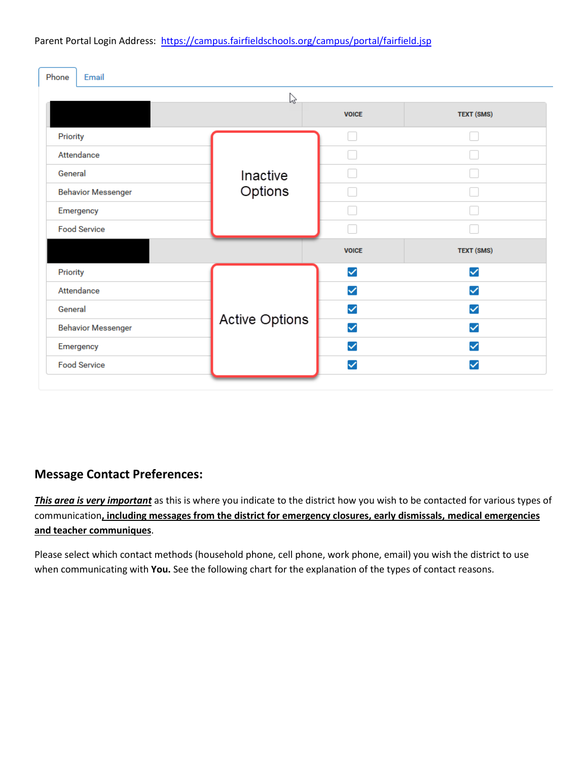| Phone<br>Email |                           |                       |              |                   |
|----------------|---------------------------|-----------------------|--------------|-------------------|
|                |                           | ピ                     |              |                   |
|                |                           |                       | <b>VOICE</b> | <b>TEXT (SMS)</b> |
| Priority       |                           |                       |              |                   |
|                | Attendance                |                       |              |                   |
| General        |                           | Inactive              |              |                   |
|                | <b>Behavior Messenger</b> | Options               |              |                   |
|                | Emergency                 |                       |              |                   |
|                | <b>Food Service</b>       |                       |              |                   |
|                |                           |                       | <b>VOICE</b> | <b>TEXT (SMS)</b> |
| Priority       |                           |                       | $\checkmark$ | $\checkmark$      |
|                | Attendance                |                       | $\checkmark$ | $\checkmark$      |
| General        |                           |                       | ✓            | $\checkmark$      |
|                | <b>Behavior Messenger</b> | <b>Active Options</b> | $\checkmark$ | $\checkmark$      |
|                | Emergency                 |                       | $\checkmark$ | $\checkmark$      |
|                | <b>Food Service</b>       |                       | ✓            | ✓                 |

# **Message Contact Preferences:**

*This area is very important* as this is where you indicate to the district how you wish to be contacted for various types of communication**, including messages from the district for emergency closures, early dismissals, medical emergencies and teacher communiques**.

Please select which contact methods (household phone, cell phone, work phone, email) you wish the district to use when communicating with **You.** See the following chart for the explanation of the types of contact reasons.